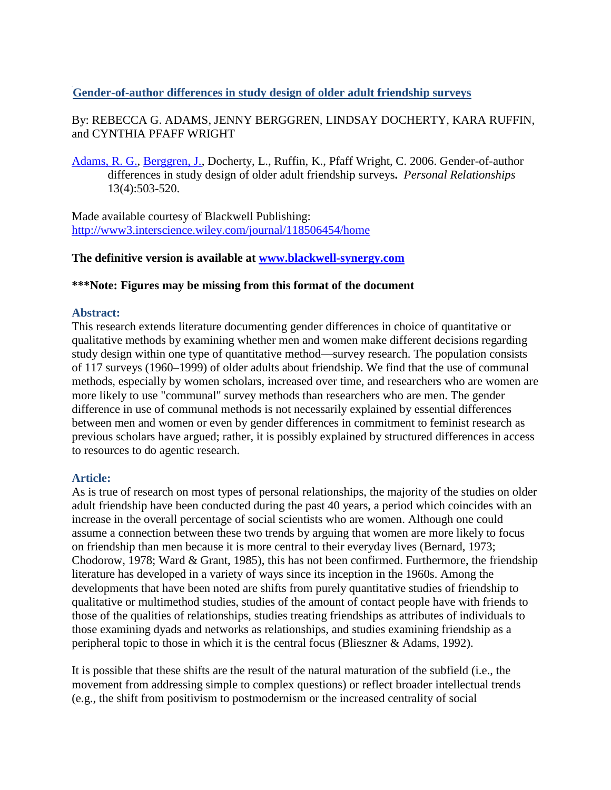# **Gender-of-author differences in study design of older adult friendship surveys**

By: REBECCA G. ADAMS, JENNY BERGGREN, LINDSAY DOCHERTY, KARA RUFFIN, and CYNTHIA PFAFF WRIGHT

[Adams, R. G.,](http://libres.uncg.edu/ir/uncg/clist.aspx?id=497) [Berggren, J.,](http://libres.uncg.edu/ir/uncg/clist.aspx?id=2496) Docherty, L., Ruffin, K., Pfaff Wright, C. 2006. Gender-of-author differences in study design of older adult friendship surveys**.** *Personal Relationships* 13(4):503-520.

Made available courtesy of Blackwell Publishing: <http://www3.interscience.wiley.com/journal/118506454/home>

# **The definitive version is available at [www.blackwell-synergy.com](http://www.blackwell-synergy.com/)**

# **\*\*\*Note: Figures may be missing from this format of the document**

### **Abstract:**

This research extends literature documenting gender differences in choice of quantitative or qualitative methods by examining whether men and women make different decisions regarding study design within one type of quantitative method—survey research. The population consists of 117 surveys (1960–1999) of older adults about friendship. We find that the use of communal methods, especially by women scholars, increased over time, and researchers who are women are more likely to use "communal" survey methods than researchers who are men. The gender difference in use of communal methods is not necessarily explained by essential differences between men and women or even by gender differences in commitment to feminist research as previous scholars have argued; rather, it is possibly explained by structured differences in access to resources to do agentic research.

# **Article:**

As is true of research on most types of personal relationships, the majority of the studies on older adult friendship have been conducted during the past 40 years, a period which coincides with an increase in the overall percentage of social scientists who are women. Although one could assume a connection between these two trends by arguing that women are more likely to focus on friendship than men because it is more central to their everyday lives (Bernard, 1973; Chodorow, 1978; Ward & Grant, 1985), this has not been confirmed. Furthermore, the friendship literature has developed in a variety of ways since its inception in the 1960s. Among the developments that have been noted are shifts from purely quantitative studies of friendship to qualitative or multimethod studies, studies of the amount of contact people have with friends to those of the qualities of relationships, studies treating friendships as attributes of individuals to those examining dyads and networks as relationships, and studies examining friendship as a peripheral topic to those in which it is the central focus (Blieszner & Adams, 1992).

It is possible that these shifts are the result of the natural maturation of the subfield (i.e., the movement from addressing simple to complex questions) or reflect broader intellectual trends (e.g., the shift from positivism to postmodernism or the increased centrality of social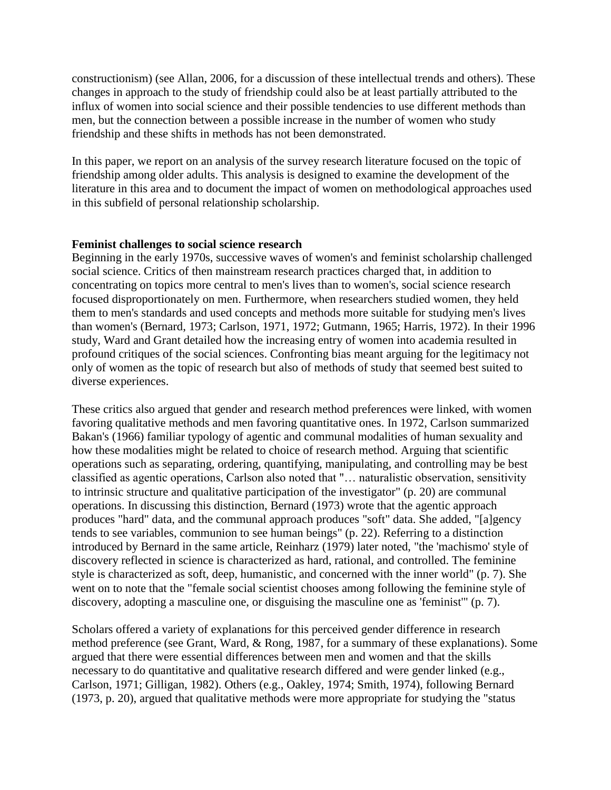constructionism) (see Allan, 2006, for a discussion of these intellectual trends and others). These changes in approach to the study of friendship could also be at least partially attributed to the influx of women into social science and their possible tendencies to use different methods than men, but the connection between a possible increase in the number of women who study friendship and these shifts in methods has not been demonstrated.

In this paper, we report on an analysis of the survey research literature focused on the topic of friendship among older adults. This analysis is designed to examine the development of the literature in this area and to document the impact of women on methodological approaches used in this subfield of personal relationship scholarship.

### **Feminist challenges to social science research**

Beginning in the early 1970s, successive waves of women's and feminist scholarship challenged social science. Critics of then mainstream research practices charged that, in addition to concentrating on topics more central to men's lives than to women's, social science research focused disproportionately on men. Furthermore, when researchers studied women, they held them to men's standards and used concepts and methods more suitable for studying men's lives than women's (Bernard, 1973; Carlson, 1971, 1972; Gutmann, 1965; Harris, 1972). In their 1996 study, Ward and Grant detailed how the increasing entry of women into academia resulted in profound critiques of the social sciences. Confronting bias meant arguing for the legitimacy not only of women as the topic of research but also of methods of study that seemed best suited to diverse experiences.

These critics also argued that gender and research method preferences were linked, with women favoring qualitative methods and men favoring quantitative ones. In 1972, Carlson summarized Bakan's (1966) familiar typology of agentic and communal modalities of human sexuality and how these modalities might be related to choice of research method. Arguing that scientific operations such as separating, ordering, quantifying, manipulating, and controlling may be best classified as agentic operations, Carlson also noted that "… naturalistic observation, sensitivity to intrinsic structure and qualitative participation of the investigator" (p. 20) are communal operations. In discussing this distinction, Bernard (1973) wrote that the agentic approach produces "hard" data, and the communal approach produces "soft" data. She added, "[a]gency tends to see variables, communion to see human beings" (p. 22). Referring to a distinction introduced by Bernard in the same article, Reinharz (1979) later noted, "the 'machismo' style of discovery reflected in science is characterized as hard, rational, and controlled. The feminine style is characterized as soft, deep, humanistic, and concerned with the inner world" (p. 7). She went on to note that the "female social scientist chooses among following the feminine style of discovery, adopting a masculine one, or disguising the masculine one as 'feminist'" (p. 7).

Scholars offered a variety of explanations for this perceived gender difference in research method preference (see Grant, Ward, & Rong, 1987, for a summary of these explanations). Some argued that there were essential differences between men and women and that the skills necessary to do quantitative and qualitative research differed and were gender linked (e.g., Carlson, 1971; Gilligan, 1982). Others (e.g., Oakley, 1974; Smith, 1974), following Bernard (1973, p. 20), argued that qualitative methods were more appropriate for studying the "status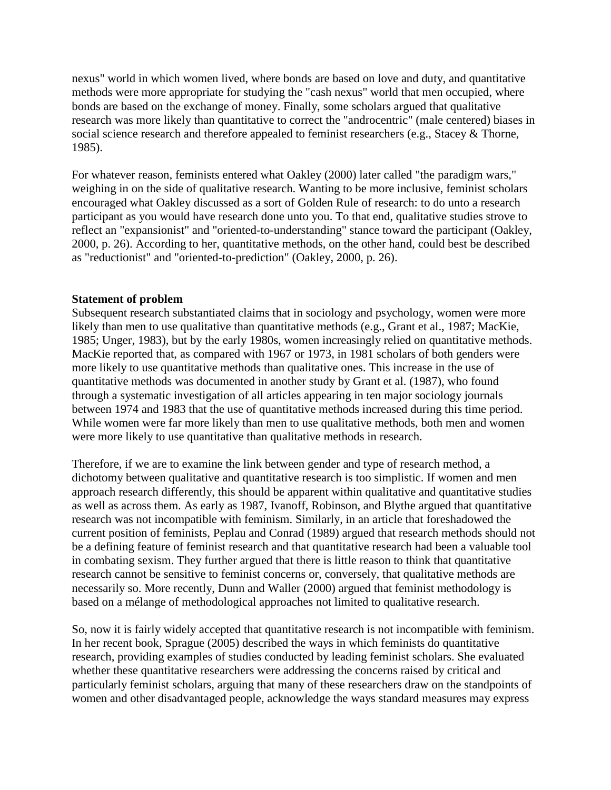nexus" world in which women lived, where bonds are based on love and duty, and quantitative methods were more appropriate for studying the "cash nexus" world that men occupied, where bonds are based on the exchange of money. Finally, some scholars argued that qualitative research was more likely than quantitative to correct the "androcentric" (male centered) biases in social science research and therefore appealed to feminist researchers (e.g., Stacey & Thorne, 1985).

For whatever reason, feminists entered what Oakley (2000) later called "the paradigm wars," weighing in on the side of qualitative research. Wanting to be more inclusive, feminist scholars encouraged what Oakley discussed as a sort of Golden Rule of research: to do unto a research participant as you would have research done unto you. To that end, qualitative studies strove to reflect an "expansionist" and "oriented-to-understanding" stance toward the participant (Oakley, 2000, p. 26). According to her, quantitative methods, on the other hand, could best be described as "reductionist" and "oriented-to-prediction" (Oakley, 2000, p. 26).

### **Statement of problem**

Subsequent research substantiated claims that in sociology and psychology, women were more likely than men to use qualitative than quantitative methods (e.g., Grant et al., 1987; MacKie, 1985; Unger, 1983), but by the early 1980s, women increasingly relied on quantitative methods. MacKie reported that, as compared with 1967 or 1973, in 1981 scholars of both genders were more likely to use quantitative methods than qualitative ones. This increase in the use of quantitative methods was documented in another study by Grant et al. (1987), who found through a systematic investigation of all articles appearing in ten major sociology journals between 1974 and 1983 that the use of quantitative methods increased during this time period. While women were far more likely than men to use qualitative methods, both men and women were more likely to use quantitative than qualitative methods in research.

Therefore, if we are to examine the link between gender and type of research method, a dichotomy between qualitative and quantitative research is too simplistic. If women and men approach research differently, this should be apparent within qualitative and quantitative studies as well as across them. As early as 1987, Ivanoff, Robinson, and Blythe argued that quantitative research was not incompatible with feminism. Similarly, in an article that foreshadowed the current position of feminists, Peplau and Conrad (1989) argued that research methods should not be a defining feature of feminist research and that quantitative research had been a valuable tool in combating sexism. They further argued that there is little reason to think that quantitative research cannot be sensitive to feminist concerns or, conversely, that qualitative methods are necessarily so. More recently, Dunn and Waller (2000) argued that feminist methodology is based on a mélange of methodological approaches not limited to qualitative research.

So, now it is fairly widely accepted that quantitative research is not incompatible with feminism. In her recent book, Sprague (2005) described the ways in which feminists do quantitative research, providing examples of studies conducted by leading feminist scholars. She evaluated whether these quantitative researchers were addressing the concerns raised by critical and particularly feminist scholars, arguing that many of these researchers draw on the standpoints of women and other disadvantaged people, acknowledge the ways standard measures may express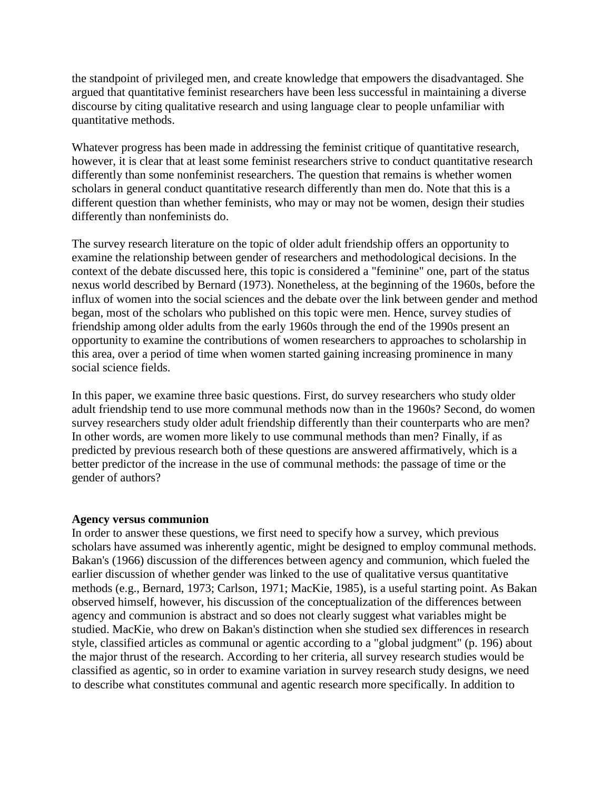the standpoint of privileged men, and create knowledge that empowers the disadvantaged. She argued that quantitative feminist researchers have been less successful in maintaining a diverse discourse by citing qualitative research and using language clear to people unfamiliar with quantitative methods.

Whatever progress has been made in addressing the feminist critique of quantitative research, however, it is clear that at least some feminist researchers strive to conduct quantitative research differently than some nonfeminist researchers. The question that remains is whether women scholars in general conduct quantitative research differently than men do. Note that this is a different question than whether feminists, who may or may not be women, design their studies differently than nonfeminists do.

The survey research literature on the topic of older adult friendship offers an opportunity to examine the relationship between gender of researchers and methodological decisions. In the context of the debate discussed here, this topic is considered a "feminine" one, part of the status nexus world described by Bernard (1973). Nonetheless, at the beginning of the 1960s, before the influx of women into the social sciences and the debate over the link between gender and method began, most of the scholars who published on this topic were men. Hence, survey studies of friendship among older adults from the early 1960s through the end of the 1990s present an opportunity to examine the contributions of women researchers to approaches to scholarship in this area, over a period of time when women started gaining increasing prominence in many social science fields.

In this paper, we examine three basic questions. First, do survey researchers who study older adult friendship tend to use more communal methods now than in the 1960s? Second, do women survey researchers study older adult friendship differently than their counterparts who are men? In other words, are women more likely to use communal methods than men? Finally, if as predicted by previous research both of these questions are answered affirmatively, which is a better predictor of the increase in the use of communal methods: the passage of time or the gender of authors?

#### **Agency versus communion**

In order to answer these questions, we first need to specify how a survey, which previous scholars have assumed was inherently agentic, might be designed to employ communal methods. Bakan's (1966) discussion of the differences between agency and communion, which fueled the earlier discussion of whether gender was linked to the use of qualitative versus quantitative methods (e.g., Bernard, 1973; Carlson, 1971; MacKie, 1985), is a useful starting point. As Bakan observed himself, however, his discussion of the conceptualization of the differences between agency and communion is abstract and so does not clearly suggest what variables might be studied. MacKie, who drew on Bakan's distinction when she studied sex differences in research style, classified articles as communal or agentic according to a "global judgment" (p. 196) about the major thrust of the research. According to her criteria, all survey research studies would be classified as agentic, so in order to examine variation in survey research study designs, we need to describe what constitutes communal and agentic research more specifically. In addition to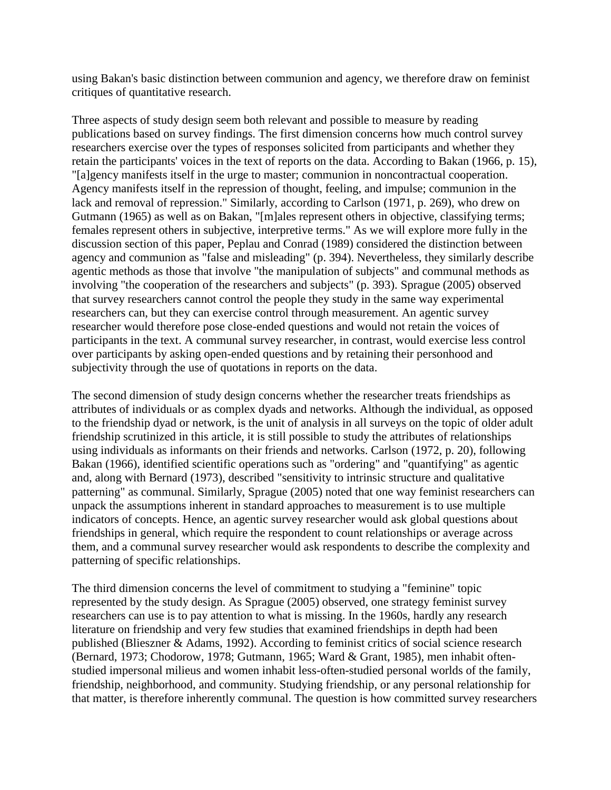using Bakan's basic distinction between communion and agency, we therefore draw on feminist critiques of quantitative research.

Three aspects of study design seem both relevant and possible to measure by reading publications based on survey findings. The first dimension concerns how much control survey researchers exercise over the types of responses solicited from participants and whether they retain the participants' voices in the text of reports on the data. According to Bakan (1966, p. 15), "[a]gency manifests itself in the urge to master; communion in noncontractual cooperation. Agency manifests itself in the repression of thought, feeling, and impulse; communion in the lack and removal of repression." Similarly, according to Carlson (1971, p. 269), who drew on Gutmann (1965) as well as on Bakan, "[m]ales represent others in objective, classifying terms; females represent others in subjective, interpretive terms." As we will explore more fully in the discussion section of this paper, Peplau and Conrad (1989) considered the distinction between agency and communion as "false and misleading" (p. 394). Nevertheless, they similarly describe agentic methods as those that involve "the manipulation of subjects" and communal methods as involving "the cooperation of the researchers and subjects" (p. 393). Sprague (2005) observed that survey researchers cannot control the people they study in the same way experimental researchers can, but they can exercise control through measurement. An agentic survey researcher would therefore pose close-ended questions and would not retain the voices of participants in the text. A communal survey researcher, in contrast, would exercise less control over participants by asking open-ended questions and by retaining their personhood and subjectivity through the use of quotations in reports on the data.

The second dimension of study design concerns whether the researcher treats friendships as attributes of individuals or as complex dyads and networks. Although the individual, as opposed to the friendship dyad or network, is the unit of analysis in all surveys on the topic of older adult friendship scrutinized in this article, it is still possible to study the attributes of relationships using individuals as informants on their friends and networks. Carlson (1972, p. 20), following Bakan (1966), identified scientific operations such as "ordering" and "quantifying" as agentic and, along with Bernard (1973), described "sensitivity to intrinsic structure and qualitative patterning" as communal. Similarly, Sprague (2005) noted that one way feminist researchers can unpack the assumptions inherent in standard approaches to measurement is to use multiple indicators of concepts. Hence, an agentic survey researcher would ask global questions about friendships in general, which require the respondent to count relationships or average across them, and a communal survey researcher would ask respondents to describe the complexity and patterning of specific relationships.

The third dimension concerns the level of commitment to studying a "feminine" topic represented by the study design. As Sprague (2005) observed, one strategy feminist survey researchers can use is to pay attention to what is missing. In the 1960s, hardly any research literature on friendship and very few studies that examined friendships in depth had been published (Blieszner & Adams, 1992). According to feminist critics of social science research (Bernard, 1973; Chodorow, 1978; Gutmann, 1965; Ward & Grant, 1985), men inhabit oftenstudied impersonal milieus and women inhabit less-often-studied personal worlds of the family, friendship, neighborhood, and community. Studying friendship, or any personal relationship for that matter, is therefore inherently communal. The question is how committed survey researchers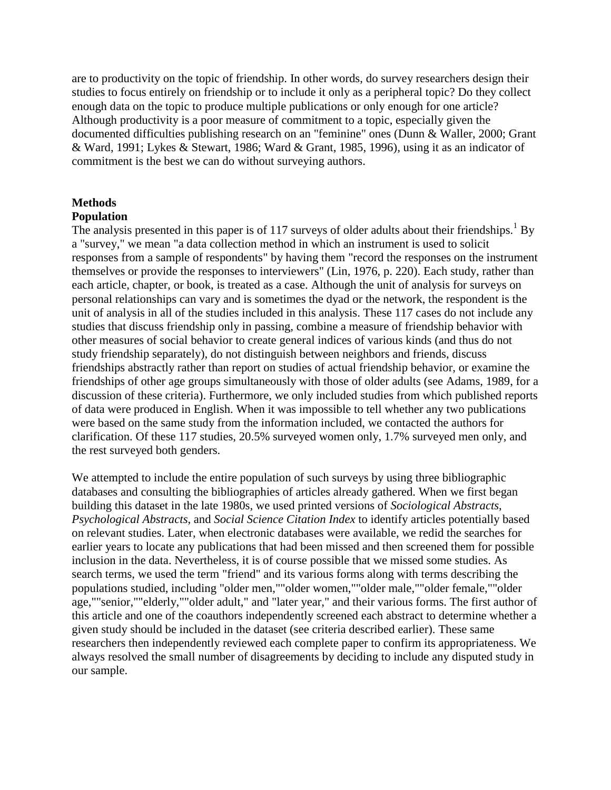are to productivity on the topic of friendship. In other words, do survey researchers design their studies to focus entirely on friendship or to include it only as a peripheral topic? Do they collect enough data on the topic to produce multiple publications or only enough for one article? Although productivity is a poor measure of commitment to a topic, especially given the documented difficulties publishing research on an "feminine" ones (Dunn & Waller, 2000; Grant & Ward, 1991; Lykes & Stewart, 1986; Ward & Grant, 1985, 1996), using it as an indicator of commitment is the best we can do without surveying authors.

# **Methods**

#### **Population**

The analysis presented in this paper is of 117 surveys of older adults about their friendships.<sup>1</sup> By a "survey," we mean "a data collection method in which an instrument is used to solicit responses from a sample of respondents" by having them "record the responses on the instrument themselves or provide the responses to interviewers" (Lin, 1976, p. 220). Each study, rather than each article, chapter, or book, is treated as a case. Although the unit of analysis for surveys on personal relationships can vary and is sometimes the dyad or the network, the respondent is the unit of analysis in all of the studies included in this analysis. These 117 cases do not include any studies that discuss friendship only in passing, combine a measure of friendship behavior with other measures of social behavior to create general indices of various kinds (and thus do not study friendship separately), do not distinguish between neighbors and friends, discuss friendships abstractly rather than report on studies of actual friendship behavior, or examine the friendships of other age groups simultaneously with those of older adults (see Adams, 1989, for a discussion of these criteria). Furthermore, we only included studies from which published reports of data were produced in English. When it was impossible to tell whether any two publications were based on the same study from the information included, we contacted the authors for clarification. Of these 117 studies, 20.5% surveyed women only, 1.7% surveyed men only, and the rest surveyed both genders.

We attempted to include the entire population of such surveys by using three bibliographic databases and consulting the bibliographies of articles already gathered. When we first began building this dataset in the late 1980s, we used printed versions of *Sociological Abstracts*, *Psychological Abstracts*, and *Social Science Citation Index* to identify articles potentially based on relevant studies. Later, when electronic databases were available, we redid the searches for earlier years to locate any publications that had been missed and then screened them for possible inclusion in the data. Nevertheless, it is of course possible that we missed some studies. As search terms, we used the term "friend" and its various forms along with terms describing the populations studied, including "older men,""older women,""older male,""older female,""older age,""senior,""elderly,""older adult," and "later year," and their various forms. The first author of this article and one of the coauthors independently screened each abstract to determine whether a given study should be included in the dataset (see criteria described earlier). These same researchers then independently reviewed each complete paper to confirm its appropriateness. We always resolved the small number of disagreements by deciding to include any disputed study in our sample.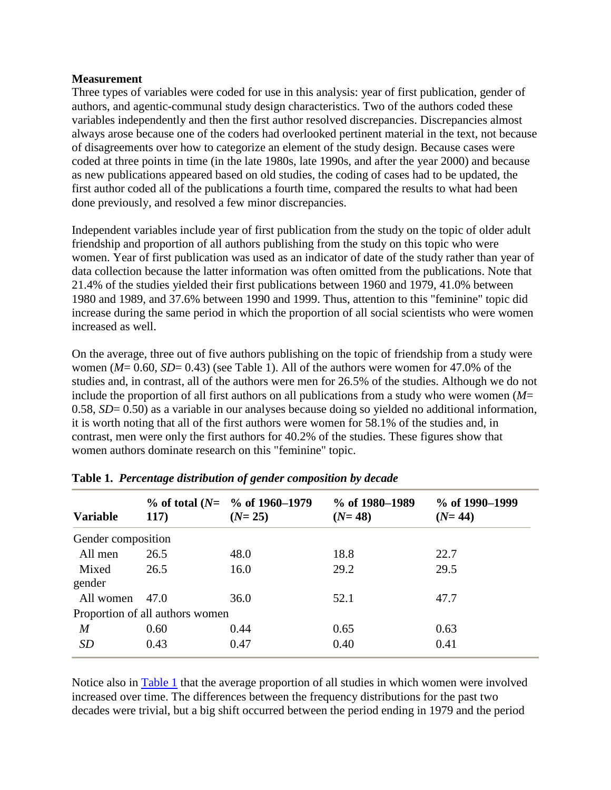### **Measurement**

Three types of variables were coded for use in this analysis: year of first publication, gender of authors, and agentic-communal study design characteristics. Two of the authors coded these variables independently and then the first author resolved discrepancies. Discrepancies almost always arose because one of the coders had overlooked pertinent material in the text, not because of disagreements over how to categorize an element of the study design. Because cases were coded at three points in time (in the late 1980s, late 1990s, and after the year 2000) and because as new publications appeared based on old studies, the coding of cases had to be updated, the first author coded all of the publications a fourth time, compared the results to what had been done previously, and resolved a few minor discrepancies.

Independent variables include year of first publication from the study on the topic of older adult friendship and proportion of all authors publishing from the study on this topic who were women. Year of first publication was used as an indicator of date of the study rather than year of data collection because the latter information was often omitted from the publications. Note that 21.4% of the studies yielded their first publications between 1960 and 1979, 41.0% between 1980 and 1989, and 37.6% between 1990 and 1999. Thus, attention to this "feminine" topic did increase during the same period in which the proportion of all social scientists who were women increased as well.

On the average, three out of five authors publishing on the topic of friendship from a study were women  $(M= 0.60, SD= 0.43)$  (see Table 1). All of the authors were women for 47.0% of the studies and, in contrast, all of the authors were men for 26.5% of the studies. Although we do not include the proportion of all first authors on all publications from a study who were women (*M*= 0.58, *SD*= 0.50) as a variable in our analyses because doing so yielded no additional information, it is worth noting that all of the first authors were women for 58.1% of the studies and, in contrast, men were only the first authors for 40.2% of the studies. These figures show that women authors dominate research on this "feminine" topic.

| <b>Variable</b>    | 117)                            | % of total $(N=$ % of 1960–1979<br>$(N=25)$ | % of 1980–1989<br>$(N=48)$ | $%$ of 1990–1999<br>$(N=44)$ |
|--------------------|---------------------------------|---------------------------------------------|----------------------------|------------------------------|
| Gender composition |                                 |                                             |                            |                              |
| All men            | 26.5                            | 48.0                                        | 18.8                       | 22.7                         |
| Mixed              | 26.5                            | 16.0                                        | 29.2                       | 29.5                         |
| gender             |                                 |                                             |                            |                              |
| All women          | 47.0                            | 36.0                                        | 52.1                       | 47.7                         |
|                    | Proportion of all authors women |                                             |                            |                              |
| $\boldsymbol{M}$   | 0.60                            | 0.44                                        | 0.65                       | 0.63                         |
| <b>SD</b>          | 0.43                            | 0.47                                        | 0.40                       | 0.41                         |
|                    |                                 |                                             |                            |                              |

|  |  | Table 1. Percentage distribution of gender composition by decade |  |
|--|--|------------------------------------------------------------------|--|
|  |  |                                                                  |  |

Notice also in **Table 1** that the average proportion of all studies in which women were involved increased over time. The differences between the frequency distributions for the past two decades were trivial, but a big shift occurred between the period ending in 1979 and the period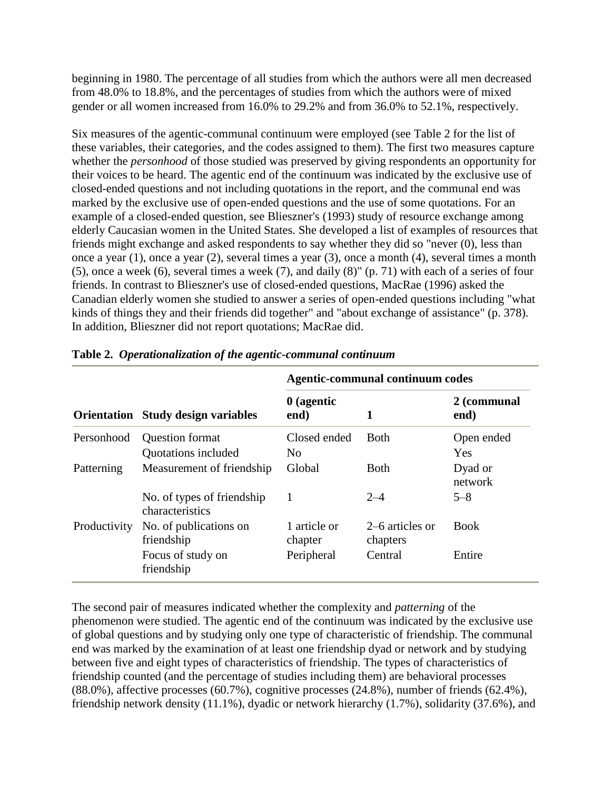beginning in 1980. The percentage of all studies from which the authors were all men decreased from 48.0% to 18.8%, and the percentages of studies from which the authors were of mixed gender or all women increased from 16.0% to 29.2% and from 36.0% to 52.1%, respectively.

Six measures of the agentic-communal continuum were employed (see Table 2 for the list of these variables, their categories, and the codes assigned to them). The first two measures capture whether the *personhood* of those studied was preserved by giving respondents an opportunity for their voices to be heard. The agentic end of the continuum was indicated by the exclusive use of closed-ended questions and not including quotations in the report, and the communal end was marked by the exclusive use of open-ended questions and the use of some quotations. For an example of a closed-ended question, see Blieszner's (1993) study of resource exchange among elderly Caucasian women in the United States. She developed a list of examples of resources that friends might exchange and asked respondents to say whether they did so "never (0), less than once a year (1), once a year (2), several times a year (3), once a month (4), several times a month (5), once a week (6), several times a week (7), and daily (8)" (p. 71) with each of a series of four friends. In contrast to Blieszner's use of closed-ended questions, MacRae (1996) asked the Canadian elderly women she studied to answer a series of open-ended questions including "what kinds of things they and their friends did together" and "about exchange of assistance" (p. 378). In addition, Blieszner did not report quotations; MacRae did.

|              |                                               | <b>Agentic-communal continuum codes</b> |                             |                          |  |
|--------------|-----------------------------------------------|-----------------------------------------|-----------------------------|--------------------------|--|
|              | <b>Orientation</b> Study design variables     | $0$ (agentic<br>end)                    | 1                           | 2 (communal<br>end)      |  |
| Personhood   | <b>Question</b> format<br>Quotations included | Closed ended<br>N <sub>0</sub>          | <b>Both</b>                 | Open ended<br><b>Yes</b> |  |
| Patterning   | Measurement of friendship                     | Global                                  | <b>Both</b>                 | Dyad or<br>network       |  |
|              | No. of types of friendship<br>characteristics | 1                                       | $2 - 4$                     | $5 - 8$                  |  |
| Productivity | No. of publications on<br>friendship          | 1 article or<br>chapter                 | 2–6 articles or<br>chapters | <b>Book</b>              |  |
|              | Focus of study on<br>friendship               | Peripheral                              | Central                     | Entire                   |  |

# **Table 2.** *Operationalization of the agentic-communal continuum*

The second pair of measures indicated whether the complexity and *patterning* of the phenomenon were studied. The agentic end of the continuum was indicated by the exclusive use of global questions and by studying only one type of characteristic of friendship. The communal end was marked by the examination of at least one friendship dyad or network and by studying between five and eight types of characteristics of friendship. The types of characteristics of friendship counted (and the percentage of studies including them) are behavioral processes (88.0%), affective processes (60.7%), cognitive processes (24.8%), number of friends (62.4%), friendship network density (11.1%), dyadic or network hierarchy (1.7%), solidarity (37.6%), and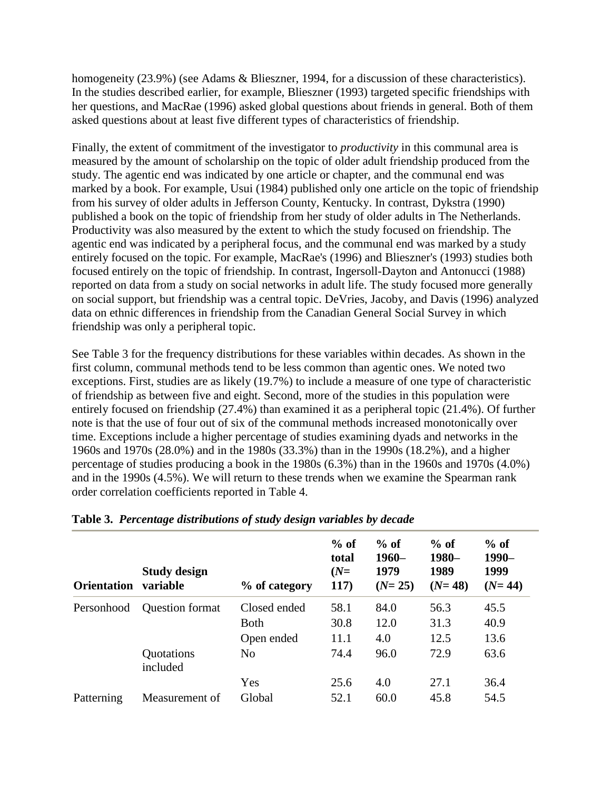homogeneity (23.9%) (see Adams & Blieszner, 1994, for a discussion of these characteristics). In the studies described earlier, for example, Blieszner (1993) targeted specific friendships with her questions, and MacRae (1996) asked global questions about friends in general. Both of them asked questions about at least five different types of characteristics of friendship.

Finally, the extent of commitment of the investigator to *productivity* in this communal area is measured by the amount of scholarship on the topic of older adult friendship produced from the study. The agentic end was indicated by one article or chapter, and the communal end was marked by a book. For example, Usui (1984) published only one article on the topic of friendship from his survey of older adults in Jefferson County, Kentucky. In contrast, Dykstra (1990) published a book on the topic of friendship from her study of older adults in The Netherlands. Productivity was also measured by the extent to which the study focused on friendship. The agentic end was indicated by a peripheral focus, and the communal end was marked by a study entirely focused on the topic. For example, MacRae's (1996) and Blieszner's (1993) studies both focused entirely on the topic of friendship. In contrast, Ingersoll-Dayton and Antonucci (1988) reported on data from a study on social networks in adult life. The study focused more generally on social support, but friendship was a central topic. DeVries, Jacoby, and Davis (1996) analyzed data on ethnic differences in friendship from the Canadian General Social Survey in which friendship was only a peripheral topic.

See Table 3 for the frequency distributions for these variables within decades. As shown in the first column, communal methods tend to be less common than agentic ones. We noted two exceptions. First, studies are as likely (19.7%) to include a measure of one type of characteristic of friendship as between five and eight. Second, more of the studies in this population were entirely focused on friendship (27.4%) than examined it as a peripheral topic (21.4%). Of further note is that the use of four out of six of the communal methods increased monotonically over time. Exceptions include a higher percentage of studies examining dyads and networks in the 1960s and 1970s (28.0%) and in the 1980s (33.3%) than in the 1990s (18.2%), and a higher percentage of studies producing a book in the 1980s (6.3%) than in the 1960s and 1970s (4.0%) and in the 1990s (4.5%). We will return to these trends when we examine the Spearman rank order correlation coefficients reported in Table 4.

| <b>Orientation</b> | <b>Study design</b><br>variable | % of category  | $%$ of<br>total<br>$(N=$<br><b>117</b> ) | $%$ of<br>$1960-$<br>1979<br>$(N=25)$ | $%$ of<br>$1980 -$<br>1989<br>$(N=48)$ | $%$ of<br>$1990-$<br>1999<br>$(N=44)$ |
|--------------------|---------------------------------|----------------|------------------------------------------|---------------------------------------|----------------------------------------|---------------------------------------|
| Personhood         | <b>Question format</b>          | Closed ended   | 58.1                                     | 84.0                                  | 56.3                                   | 45.5                                  |
|                    |                                 | <b>Both</b>    | 30.8                                     | 12.0                                  | 31.3                                   | 40.9                                  |
|                    |                                 | Open ended     | 11.1                                     | 4.0                                   | 12.5                                   | 13.6                                  |
|                    | Quotations<br>included          | N <sub>0</sub> | 74.4                                     | 96.0                                  | 72.9                                   | 63.6                                  |
|                    |                                 | Yes            | 25.6                                     | 4.0                                   | 27.1                                   | 36.4                                  |
| Patterning         | Measurement of                  | Global         | 52.1                                     | 60.0                                  | 45.8                                   | 54.5                                  |

# **Table 3.** *Percentage distributions of study design variables by decade*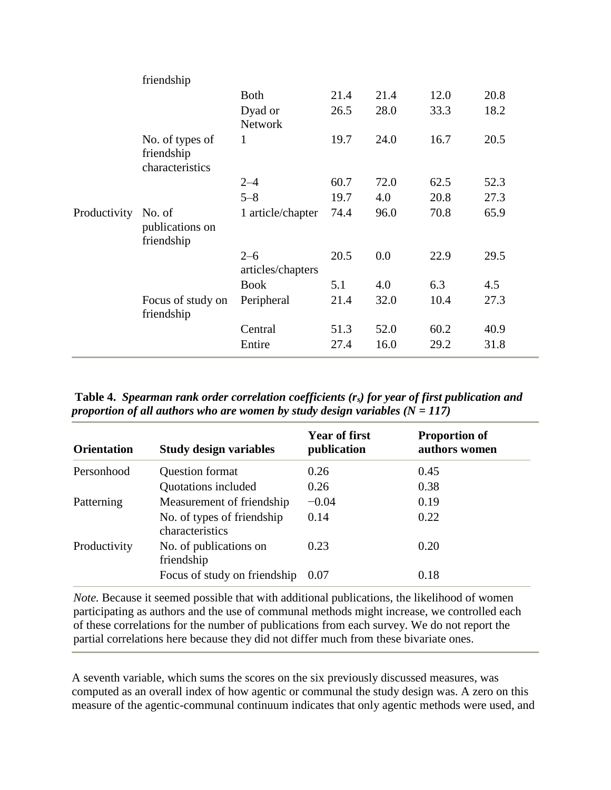|              | friendship                                       |                              |      |      |      |      |
|--------------|--------------------------------------------------|------------------------------|------|------|------|------|
|              |                                                  | <b>Both</b>                  | 21.4 | 21.4 | 12.0 | 20.8 |
|              |                                                  | Dyad or<br>Network           | 26.5 | 28.0 | 33.3 | 18.2 |
|              | No. of types of<br>friendship<br>characteristics | 1                            | 19.7 | 24.0 | 16.7 | 20.5 |
|              |                                                  | $2 - 4$                      | 60.7 | 72.0 | 62.5 | 52.3 |
|              |                                                  | $5 - 8$                      | 19.7 | 4.0  | 20.8 | 27.3 |
| Productivity | No. of<br>publications on<br>friendship          | 1 article/chapter            | 74.4 | 96.0 | 70.8 | 65.9 |
|              |                                                  | $2 - 6$<br>articles/chapters | 20.5 | 0.0  | 22.9 | 29.5 |
|              |                                                  | <b>Book</b>                  | 5.1  | 4.0  | 6.3  | 4.5  |
|              | Focus of study on<br>friendship                  | Peripheral                   | 21.4 | 32.0 | 10.4 | 27.3 |
|              |                                                  | Central                      | 51.3 | 52.0 | 60.2 | 40.9 |
|              |                                                  | Entire                       | 27.4 | 16.0 | 29.2 | 31.8 |
|              |                                                  |                              |      |      |      |      |

**Table 4.** *Spearman rank order correlation coefficients (rs) for year of first publication and proportion of all authors who are women by study design variables (N = 117)*

| <b>Orientation</b> | <b>Study design variables</b>                 | <b>Year of first</b><br>publication | <b>Proportion of</b><br>authors women |
|--------------------|-----------------------------------------------|-------------------------------------|---------------------------------------|
| Personhood         | Question format                               | 0.26                                | 0.45                                  |
|                    | Quotations included                           | 0.26                                | 0.38                                  |
| Patterning         | Measurement of friendship                     | $-0.04$                             | 0.19                                  |
|                    | No. of types of friendship<br>characteristics | 0.14                                | 0.22                                  |
| Productivity       | No. of publications on<br>friendship          | 0.23                                | 0.20                                  |
|                    | Focus of study on friendship                  | 0.07                                | 0.18                                  |

*Note.* Because it seemed possible that with additional publications, the likelihood of women participating as authors and the use of communal methods might increase, we controlled each of these correlations for the number of publications from each survey. We do not report the partial correlations here because they did not differ much from these bivariate ones.

A seventh variable, which sums the scores on the six previously discussed measures, was computed as an overall index of how agentic or communal the study design was. A zero on this measure of the agentic-communal continuum indicates that only agentic methods were used, and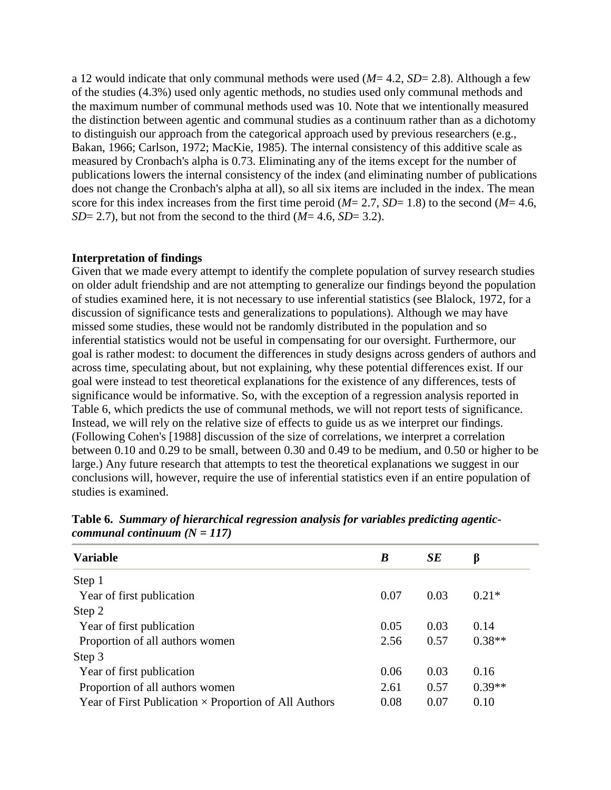a 12 would indicate that only communal methods were used (*M*= 4.2, *SD*= 2.8). Although a few of the studies (4.3%) used only agentic methods, no studies used only communal methods and the maximum number of communal methods used was 10. Note that we intentionally measured the distinction between agentic and communal studies as a continuum rather than as a dichotomy to distinguish our approach from the categorical approach used by previous researchers (e.g., Bakan, 1966; Carlson, 1972; MacKie, 1985). The internal consistency of this additive scale as measured by Cronbach's alpha is 0.73. Eliminating any of the items except for the number of publications lowers the internal consistency of the index (and eliminating number of publications does not change the Cronbach's alpha at all), so all six items are included in the index. The mean score for this index increases from the first time peroid (*M*= 2.7, *SD*= 1.8) to the second (*M*= 4.6, *SD*= 2.7), but not from the second to the third  $(M=4.6, SD=3.2)$ .

#### **Interpretation of findings**

Given that we made every attempt to identify the complete population of survey research studies on older adult friendship and are not attempting to generalize our findings beyond the population of studies examined here, it is not necessary to use inferential statistics (see Blalock, 1972, for a discussion of significance tests and generalizations to populations). Although we may have missed some studies, these would not be randomly distributed in the population and so inferential statistics would not be useful in compensating for our oversight. Furthermore, our goal is rather modest: to document the differences in study designs across genders of authors and across time, speculating about, but not explaining, why these potential differences exist. If our goal were instead to test theoretical explanations for the existence of any differences, tests of significance would be informative. So, with the exception of a regression analysis reported in Table 6, which predicts the use of communal methods, we will not report tests of significance. Instead, we will rely on the relative size of effects to guide us as we interpret our findings. (Following Cohen's [1988] discussion of the size of correlations, we interpret a correlation between 0.10 and 0.29 to be small, between 0.30 and 0.49 to be medium, and 0.50 or higher to be large.) Any future research that attempts to test the theoretical explanations we suggest in our conclusions will, however, require the use of inferential statistics even if an entire population of studies is examined.

| <b>Variable</b>                                              | $\boldsymbol{B}$ | SE   | β        |
|--------------------------------------------------------------|------------------|------|----------|
| Step 1                                                       |                  |      |          |
| Year of first publication                                    | 0.07             | 0.03 | $0.21*$  |
| Step 2                                                       |                  |      |          |
| Year of first publication                                    | 0.05             | 0.03 | 0.14     |
| Proportion of all authors women                              | 2.56             | 0.57 | $0.38**$ |
| Step 3                                                       |                  |      |          |
| Year of first publication                                    | 0.06             | 0.03 | 0.16     |
| Proportion of all authors women                              | 2.61             | 0.57 | $0.39**$ |
| Year of First Publication $\times$ Proportion of All Authors | 0.08             | 0.07 | 0.10     |

**Table 6.** *Summary of hierarchical regression analysis for variables predicting agenticcommunal continuum (N = 117)*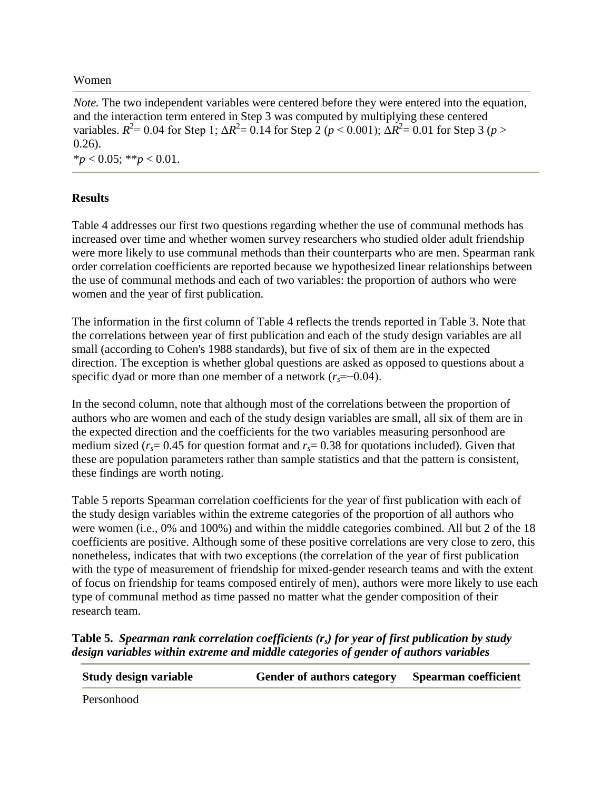# Women

*Note.* The two independent variables were centered before they were entered into the equation, and the interaction term entered in Step 3 was computed by multiplying these centered variables.  $R^2 = 0.04$  for Step 1;  $\Delta R^2 = 0.14$  for Step 2 (*p* < 0.001);  $\Delta R^2 = 0.01$  for Step 3 (*p* > 0.26).  $*_{p}$  < 0.05; \*\**p* < 0.01.

# **Results**

Table 4 addresses our first two questions regarding whether the use of communal methods has increased over time and whether women survey researchers who studied older adult friendship were more likely to use communal methods than their counterparts who are men. Spearman rank order correlation coefficients are reported because we hypothesized linear relationships between the use of communal methods and each of two variables: the proportion of authors who were women and the year of first publication.

The information in the first column of Table 4 reflects the trends reported in Table 3. Note that the correlations between year of first publication and each of the study design variables are all small (according to Cohen's 1988 standards), but five of six of them are in the expected direction. The exception is whether global questions are asked as opposed to questions about a specific dyad or more than one member of a network  $(r_s=-0.04)$ .

In the second column, note that although most of the correlations between the proportion of authors who are women and each of the study design variables are small, all six of them are in the expected direction and the coefficients for the two variables measuring personhood are medium sized ( $r_s$ = 0.45 for question format and  $r_s$ = 0.38 for quotations included). Given that these are population parameters rather than sample statistics and that the pattern is consistent, these findings are worth noting.

Table 5 reports Spearman correlation coefficients for the year of first publication with each of the study design variables within the extreme categories of the proportion of all authors who were women (i.e., 0% and 100%) and within the middle categories combined. All but 2 of the 18 coefficients are positive. Although some of these positive correlations are very close to zero, this nonetheless, indicates that with two exceptions (the correlation of the year of first publication with the type of measurement of friendship for mixed-gender research teams and with the extent of focus on friendship for teams composed entirely of men), authors were more likely to use each type of communal method as time passed no matter what the gender composition of their research team.

**Table 5.** *Spearman rank correlation coefficients (rs) for year of first publication by study design variables within extreme and middle categories of gender of authors variables*

| Study design variable | <b>Gender of authors category</b> | Spearman coefficient |  |
|-----------------------|-----------------------------------|----------------------|--|
| Personhood            |                                   |                      |  |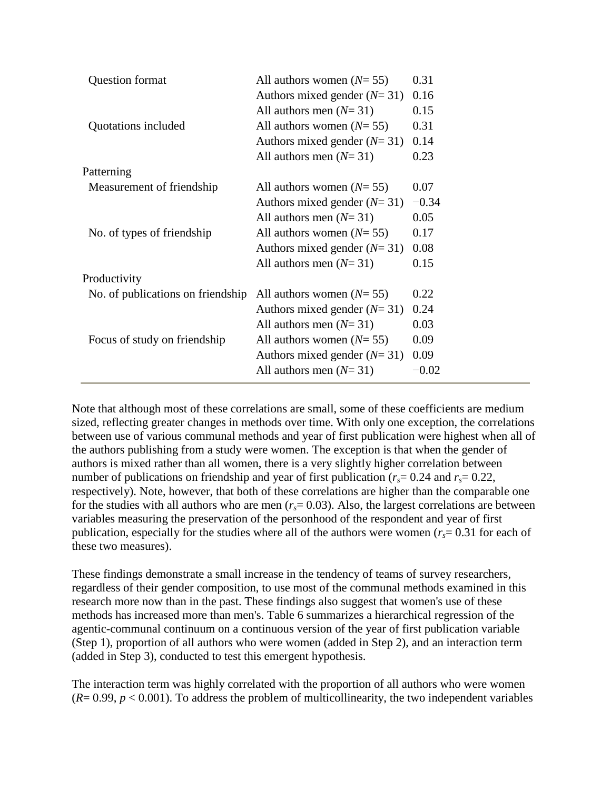| Question format                   | All authors women $(N=55)$    | 0.31    |
|-----------------------------------|-------------------------------|---------|
|                                   | Authors mixed gender $(N=31)$ | 0.16    |
|                                   | All authors men $(N=31)$      | 0.15    |
| Quotations included               | All authors women $(N=55)$    | 0.31    |
|                                   | Authors mixed gender $(N=31)$ | 0.14    |
|                                   | All authors men $(N=31)$      | 0.23    |
| Patterning                        |                               |         |
| Measurement of friendship         | All authors women $(N=55)$    | 0.07    |
|                                   | Authors mixed gender $(N=31)$ | $-0.34$ |
|                                   | All authors men $(N=31)$      | 0.05    |
| No. of types of friendship        | All authors women $(N=55)$    | 0.17    |
|                                   | Authors mixed gender $(N=31)$ | 0.08    |
|                                   | All authors men $(N=31)$      | 0.15    |
| Productivity                      |                               |         |
| No. of publications on friendship | All authors women $(N=55)$    | 0.22    |
|                                   | Authors mixed gender $(N=31)$ | 0.24    |
|                                   | All authors men $(N=31)$      | 0.03    |
| Focus of study on friendship      | All authors women $(N=55)$    | 0.09    |
|                                   | Authors mixed gender $(N=31)$ | 0.09    |
|                                   | All authors men $(N=31)$      | $-0.02$ |
|                                   |                               |         |

Note that although most of these correlations are small, some of these coefficients are medium sized, reflecting greater changes in methods over time. With only one exception, the correlations between use of various communal methods and year of first publication were highest when all of the authors publishing from a study were women. The exception is that when the gender of authors is mixed rather than all women, there is a very slightly higher correlation between number of publications on friendship and year of first publication ( $r_s$ = 0.24 and  $r_s$ = 0.22, respectively). Note, however, that both of these correlations are higher than the comparable one for the studies with all authors who are men  $(r<sub>s</sub>= 0.03)$ . Also, the largest correlations are between variables measuring the preservation of the personhood of the respondent and year of first publication, especially for the studies where all of the authors were women ( $r<sub>s</sub>$ = 0.31 for each of these two measures).

These findings demonstrate a small increase in the tendency of teams of survey researchers, regardless of their gender composition, to use most of the communal methods examined in this research more now than in the past. These findings also suggest that women's use of these methods has increased more than men's. Table 6 summarizes a hierarchical regression of the agentic-communal continuum on a continuous version of the year of first publication variable (Step 1), proportion of all authors who were women (added in Step 2), and an interaction term (added in Step 3), conducted to test this emergent hypothesis.

The interaction term was highly correlated with the proportion of all authors who were women  $(R = 0.99, p < 0.001)$ . To address the problem of multicollinearity, the two independent variables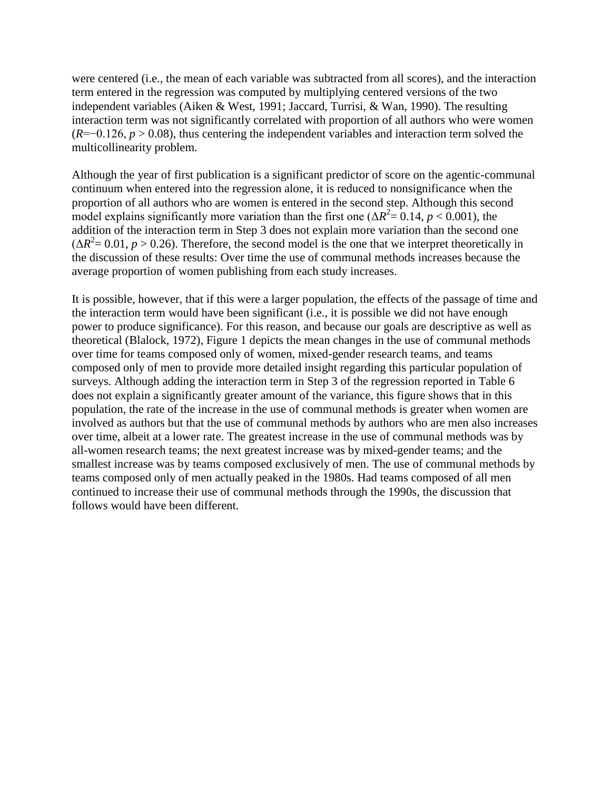were centered (i.e., the mean of each variable was subtracted from all scores), and the interaction term entered in the regression was computed by multiplying centered versions of the two independent variables (Aiken & West, 1991; Jaccard, Turrisi, & Wan, 1990). The resulting interaction term was not significantly correlated with proportion of all authors who were women (*R*=−0.126, *p* > 0.08), thus centering the independent variables and interaction term solved the multicollinearity problem.

Although the year of first publication is a significant predictor of score on the agentic-communal continuum when entered into the regression alone, it is reduced to nonsignificance when the proportion of all authors who are women is entered in the second step. Although this second model explains significantly more variation than the first one ( $\Delta R^2$  = 0.14, *p* < 0.001), the addition of the interaction term in Step 3 does not explain more variation than the second one  $(\Delta R^2 = 0.01, p > 0.26)$ . Therefore, the second model is the one that we interpret theoretically in the discussion of these results: Over time the use of communal methods increases because the average proportion of women publishing from each study increases.

It is possible, however, that if this were a larger population, the effects of the passage of time and the interaction term would have been significant (i.e., it is possible we did not have enough power to produce significance). For this reason, and because our goals are descriptive as well as theoretical (Blalock, 1972), Figure 1 depicts the mean changes in the use of communal methods over time for teams composed only of women, mixed-gender research teams, and teams composed only of men to provide more detailed insight regarding this particular population of surveys. Although adding the interaction term in Step 3 of the regression reported in Table 6 does not explain a significantly greater amount of the variance, this figure shows that in this population, the rate of the increase in the use of communal methods is greater when women are involved as authors but that the use of communal methods by authors who are men also increases over time, albeit at a lower rate. The greatest increase in the use of communal methods was by all-women research teams; the next greatest increase was by mixed-gender teams; and the smallest increase was by teams composed exclusively of men. The use of communal methods by teams composed only of men actually peaked in the 1980s. Had teams composed of all men continued to increase their use of communal methods through the 1990s, the discussion that follows would have been different.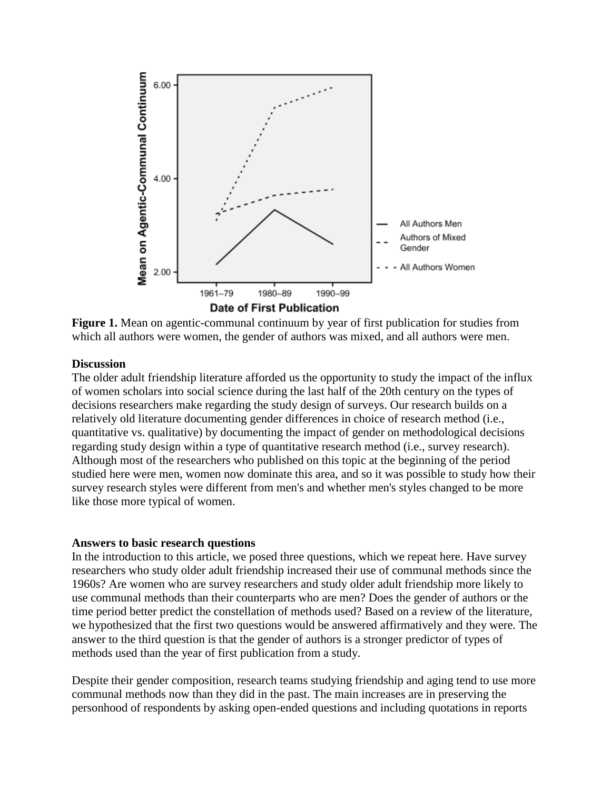

**Figure 1.** Mean on agentic-communal continuum by year of first publication for studies from which all authors were women, the gender of authors was mixed, and all authors were men.

### **Discussion**

The older adult friendship literature afforded us the opportunity to study the impact of the influx of women scholars into social science during the last half of the 20th century on the types of decisions researchers make regarding the study design of surveys. Our research builds on a relatively old literature documenting gender differences in choice of research method (i.e., quantitative vs. qualitative) by documenting the impact of gender on methodological decisions regarding study design within a type of quantitative research method (i.e., survey research). Although most of the researchers who published on this topic at the beginning of the period studied here were men, women now dominate this area, and so it was possible to study how their survey research styles were different from men's and whether men's styles changed to be more like those more typical of women.

#### **Answers to basic research questions**

In the introduction to this article, we posed three questions, which we repeat here. Have survey researchers who study older adult friendship increased their use of communal methods since the 1960s? Are women who are survey researchers and study older adult friendship more likely to use communal methods than their counterparts who are men? Does the gender of authors or the time period better predict the constellation of methods used? Based on a review of the literature, we hypothesized that the first two questions would be answered affirmatively and they were. The answer to the third question is that the gender of authors is a stronger predictor of types of methods used than the year of first publication from a study.

Despite their gender composition, research teams studying friendship and aging tend to use more communal methods now than they did in the past. The main increases are in preserving the personhood of respondents by asking open-ended questions and including quotations in reports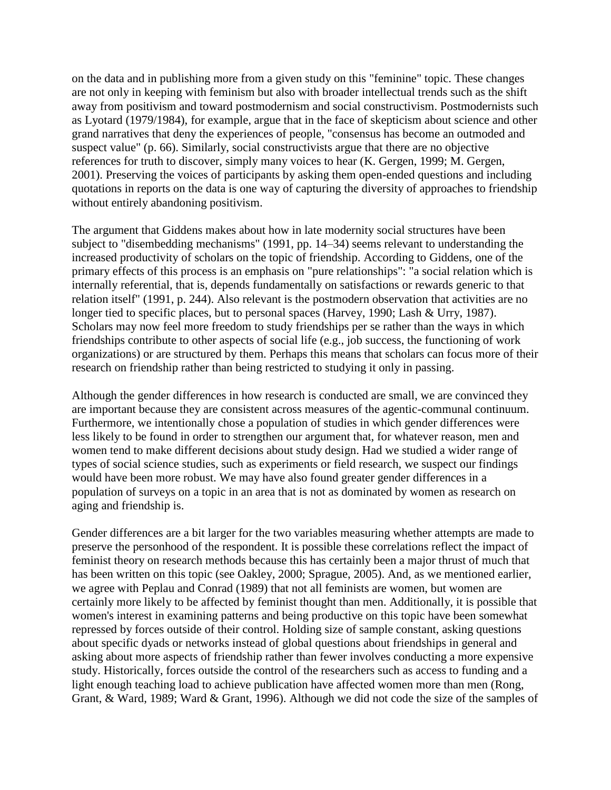on the data and in publishing more from a given study on this "feminine" topic. These changes are not only in keeping with feminism but also with broader intellectual trends such as the shift away from positivism and toward postmodernism and social constructivism. Postmodernists such as Lyotard (1979/1984), for example, argue that in the face of skepticism about science and other grand narratives that deny the experiences of people, "consensus has become an outmoded and suspect value" (p. 66). Similarly, social constructivists argue that there are no objective references for truth to discover, simply many voices to hear (K. Gergen, 1999; M. Gergen, 2001). Preserving the voices of participants by asking them open-ended questions and including quotations in reports on the data is one way of capturing the diversity of approaches to friendship without entirely abandoning positivism.

The argument that Giddens makes about how in late modernity social structures have been subject to "disembedding mechanisms" (1991, pp. 14–34) seems relevant to understanding the increased productivity of scholars on the topic of friendship. According to Giddens, one of the primary effects of this process is an emphasis on "pure relationships": "a social relation which is internally referential, that is, depends fundamentally on satisfactions or rewards generic to that relation itself" (1991, p. 244). Also relevant is the postmodern observation that activities are no longer tied to specific places, but to personal spaces (Harvey, 1990; Lash & Urry, 1987). Scholars may now feel more freedom to study friendships per se rather than the ways in which friendships contribute to other aspects of social life (e.g., job success, the functioning of work organizations) or are structured by them. Perhaps this means that scholars can focus more of their research on friendship rather than being restricted to studying it only in passing.

Although the gender differences in how research is conducted are small, we are convinced they are important because they are consistent across measures of the agentic-communal continuum. Furthermore, we intentionally chose a population of studies in which gender differences were less likely to be found in order to strengthen our argument that, for whatever reason, men and women tend to make different decisions about study design. Had we studied a wider range of types of social science studies, such as experiments or field research, we suspect our findings would have been more robust. We may have also found greater gender differences in a population of surveys on a topic in an area that is not as dominated by women as research on aging and friendship is.

Gender differences are a bit larger for the two variables measuring whether attempts are made to preserve the personhood of the respondent. It is possible these correlations reflect the impact of feminist theory on research methods because this has certainly been a major thrust of much that has been written on this topic (see Oakley, 2000; Sprague, 2005). And, as we mentioned earlier, we agree with Peplau and Conrad (1989) that not all feminists are women, but women are certainly more likely to be affected by feminist thought than men. Additionally, it is possible that women's interest in examining patterns and being productive on this topic have been somewhat repressed by forces outside of their control. Holding size of sample constant, asking questions about specific dyads or networks instead of global questions about friendships in general and asking about more aspects of friendship rather than fewer involves conducting a more expensive study. Historically, forces outside the control of the researchers such as access to funding and a light enough teaching load to achieve publication have affected women more than men (Rong, Grant, & Ward, 1989; Ward & Grant, 1996). Although we did not code the size of the samples of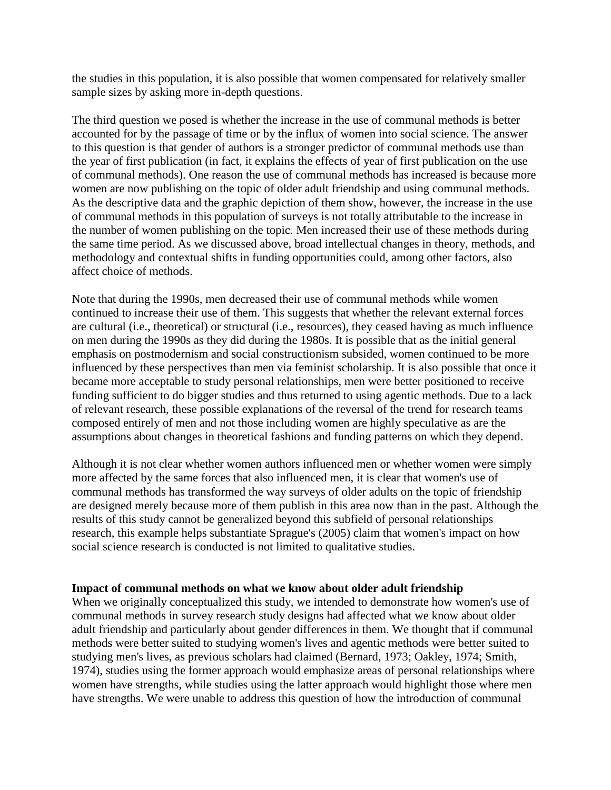the studies in this population, it is also possible that women compensated for relatively smaller sample sizes by asking more in-depth questions.

The third question we posed is whether the increase in the use of communal methods is better accounted for by the passage of time or by the influx of women into social science. The answer to this question is that gender of authors is a stronger predictor of communal methods use than the year of first publication (in fact, it explains the effects of year of first publication on the use of communal methods). One reason the use of communal methods has increased is because more women are now publishing on the topic of older adult friendship and using communal methods. As the descriptive data and the graphic depiction of them show, however, the increase in the use of communal methods in this population of surveys is not totally attributable to the increase in the number of women publishing on the topic. Men increased their use of these methods during the same time period. As we discussed above, broad intellectual changes in theory, methods, and methodology and contextual shifts in funding opportunities could, among other factors, also affect choice of methods.

Note that during the 1990s, men decreased their use of communal methods while women continued to increase their use of them. This suggests that whether the relevant external forces are cultural (i.e., theoretical) or structural (i.e., resources), they ceased having as much influence on men during the 1990s as they did during the 1980s. It is possible that as the initial general emphasis on postmodernism and social constructionism subsided, women continued to be more influenced by these perspectives than men via feminist scholarship. It is also possible that once it became more acceptable to study personal relationships, men were better positioned to receive funding sufficient to do bigger studies and thus returned to using agentic methods. Due to a lack of relevant research, these possible explanations of the reversal of the trend for research teams composed entirely of men and not those including women are highly speculative as are the assumptions about changes in theoretical fashions and funding patterns on which they depend.

Although it is not clear whether women authors influenced men or whether women were simply more affected by the same forces that also influenced men, it is clear that women's use of communal methods has transformed the way surveys of older adults on the topic of friendship are designed merely because more of them publish in this area now than in the past. Although the results of this study cannot be generalized beyond this subfield of personal relationships research, this example helps substantiate Sprague's (2005) claim that women's impact on how social science research is conducted is not limited to qualitative studies.

#### **Impact of communal methods on what we know about older adult friendship**

When we originally conceptualized this study, we intended to demonstrate how women's use of communal methods in survey research study designs had affected what we know about older adult friendship and particularly about gender differences in them. We thought that if communal methods were better suited to studying women's lives and agentic methods were better suited to studying men's lives, as previous scholars had claimed (Bernard, 1973; Oakley, 1974; Smith, 1974), studies using the former approach would emphasize areas of personal relationships where women have strengths, while studies using the latter approach would highlight those where men have strengths. We were unable to address this question of how the introduction of communal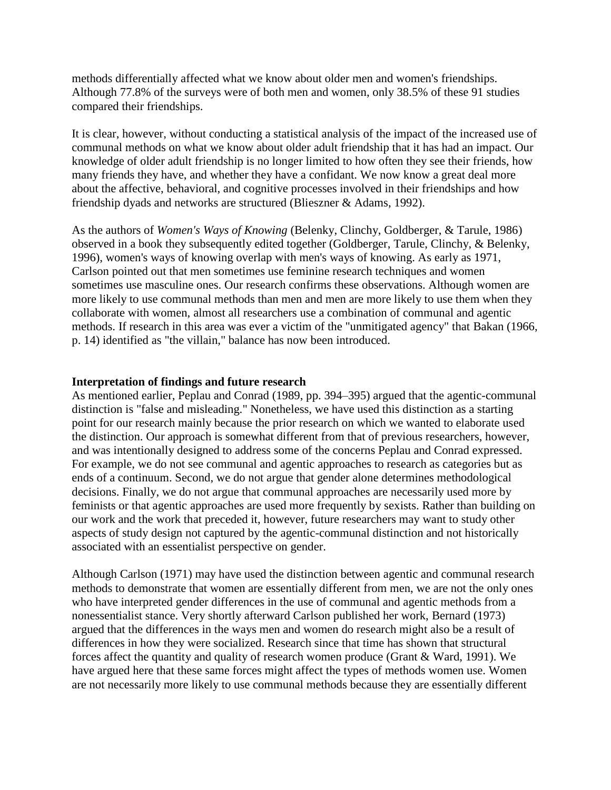methods differentially affected what we know about older men and women's friendships. Although 77.8% of the surveys were of both men and women, only 38.5% of these 91 studies compared their friendships.

It is clear, however, without conducting a statistical analysis of the impact of the increased use of communal methods on what we know about older adult friendship that it has had an impact. Our knowledge of older adult friendship is no longer limited to how often they see their friends, how many friends they have, and whether they have a confidant. We now know a great deal more about the affective, behavioral, and cognitive processes involved in their friendships and how friendship dyads and networks are structured (Blieszner & Adams, 1992).

As the authors of *Women's Ways of Knowing* (Belenky, Clinchy, Goldberger, & Tarule, 1986) observed in a book they subsequently edited together (Goldberger, Tarule, Clinchy, & Belenky, 1996), women's ways of knowing overlap with men's ways of knowing. As early as 1971, Carlson pointed out that men sometimes use feminine research techniques and women sometimes use masculine ones. Our research confirms these observations. Although women are more likely to use communal methods than men and men are more likely to use them when they collaborate with women, almost all researchers use a combination of communal and agentic methods. If research in this area was ever a victim of the "unmitigated agency" that Bakan (1966, p. 14) identified as "the villain," balance has now been introduced.

### **Interpretation of findings and future research**

As mentioned earlier, Peplau and Conrad (1989, pp. 394–395) argued that the agentic-communal distinction is "false and misleading." Nonetheless, we have used this distinction as a starting point for our research mainly because the prior research on which we wanted to elaborate used the distinction. Our approach is somewhat different from that of previous researchers, however, and was intentionally designed to address some of the concerns Peplau and Conrad expressed. For example, we do not see communal and agentic approaches to research as categories but as ends of a continuum. Second, we do not argue that gender alone determines methodological decisions. Finally, we do not argue that communal approaches are necessarily used more by feminists or that agentic approaches are used more frequently by sexists. Rather than building on our work and the work that preceded it, however, future researchers may want to study other aspects of study design not captured by the agentic-communal distinction and not historically associated with an essentialist perspective on gender.

Although Carlson (1971) may have used the distinction between agentic and communal research methods to demonstrate that women are essentially different from men, we are not the only ones who have interpreted gender differences in the use of communal and agentic methods from a nonessentialist stance. Very shortly afterward Carlson published her work, Bernard (1973) argued that the differences in the ways men and women do research might also be a result of differences in how they were socialized. Research since that time has shown that structural forces affect the quantity and quality of research women produce (Grant & Ward, 1991). We have argued here that these same forces might affect the types of methods women use. Women are not necessarily more likely to use communal methods because they are essentially different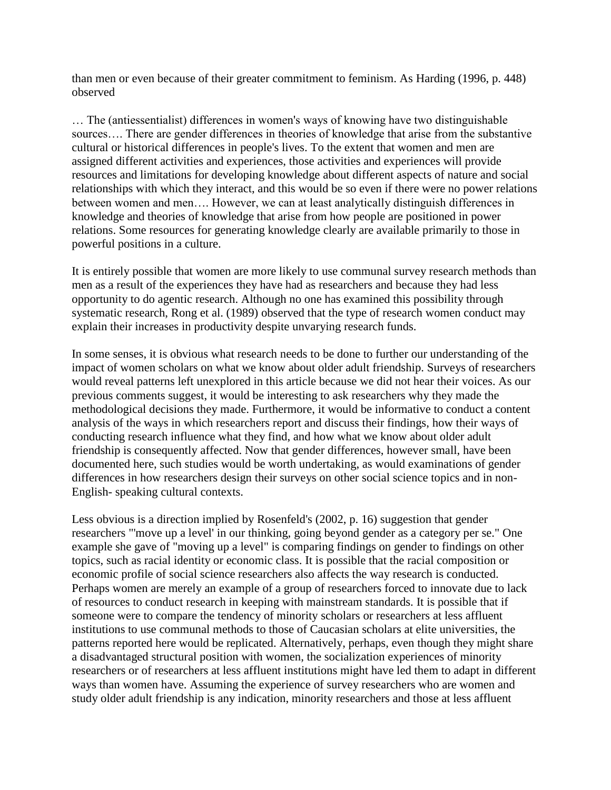than men or even because of their greater commitment to feminism. As Harding (1996, p. 448) observed

… The (antiessentialist) differences in women's ways of knowing have two distinguishable sources…. There are gender differences in theories of knowledge that arise from the substantive cultural or historical differences in people's lives. To the extent that women and men are assigned different activities and experiences, those activities and experiences will provide resources and limitations for developing knowledge about different aspects of nature and social relationships with which they interact, and this would be so even if there were no power relations between women and men…. However, we can at least analytically distinguish differences in knowledge and theories of knowledge that arise from how people are positioned in power relations. Some resources for generating knowledge clearly are available primarily to those in powerful positions in a culture.

It is entirely possible that women are more likely to use communal survey research methods than men as a result of the experiences they have had as researchers and because they had less opportunity to do agentic research. Although no one has examined this possibility through systematic research, Rong et al. (1989) observed that the type of research women conduct may explain their increases in productivity despite unvarying research funds.

In some senses, it is obvious what research needs to be done to further our understanding of the impact of women scholars on what we know about older adult friendship. Surveys of researchers would reveal patterns left unexplored in this article because we did not hear their voices. As our previous comments suggest, it would be interesting to ask researchers why they made the methodological decisions they made. Furthermore, it would be informative to conduct a content analysis of the ways in which researchers report and discuss their findings, how their ways of conducting research influence what they find, and how what we know about older adult friendship is consequently affected. Now that gender differences, however small, have been documented here, such studies would be worth undertaking, as would examinations of gender differences in how researchers design their surveys on other social science topics and in non-English- speaking cultural contexts.

Less obvious is a direction implied by Rosenfeld's (2002, p. 16) suggestion that gender researchers "'move up a level' in our thinking, going beyond gender as a category per se." One example she gave of "moving up a level" is comparing findings on gender to findings on other topics, such as racial identity or economic class. It is possible that the racial composition or economic profile of social science researchers also affects the way research is conducted. Perhaps women are merely an example of a group of researchers forced to innovate due to lack of resources to conduct research in keeping with mainstream standards. It is possible that if someone were to compare the tendency of minority scholars or researchers at less affluent institutions to use communal methods to those of Caucasian scholars at elite universities, the patterns reported here would be replicated. Alternatively, perhaps, even though they might share a disadvantaged structural position with women, the socialization experiences of minority researchers or of researchers at less affluent institutions might have led them to adapt in different ways than women have. Assuming the experience of survey researchers who are women and study older adult friendship is any indication, minority researchers and those at less affluent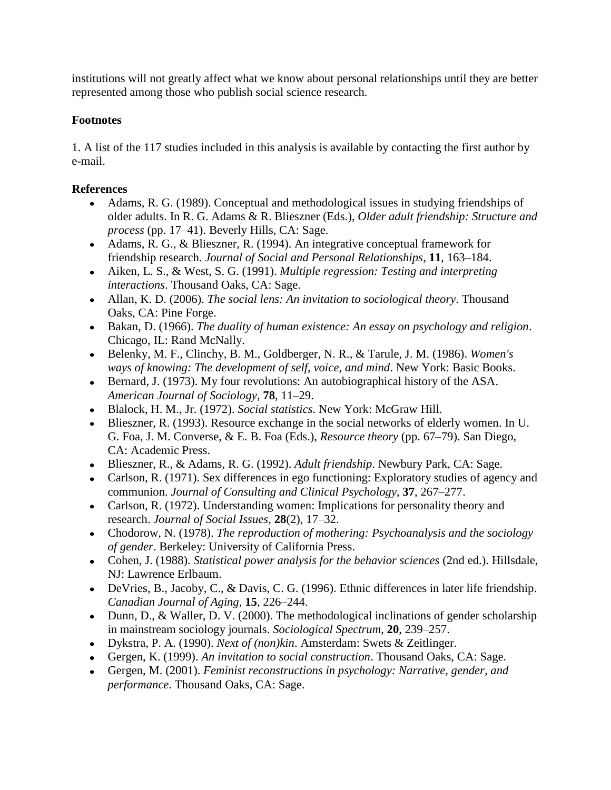institutions will not greatly affect what we know about personal relationships until they are better represented among those who publish social science research.

# **Footnotes**

1. A list of the 117 studies included in this analysis is available by contacting the first author by e-mail.

# **References**

- Adams, R. G. (1989). Conceptual and methodological issues in studying friendships of older adults. In R. G. Adams & R. Blieszner (Eds.), *Older adult friendship: Structure and process* (pp. 17–41). Beverly Hills, CA: Sage.
- Adams, R. G., & Blieszner, R. (1994). An integrative conceptual framework for friendship research. *Journal of Social and Personal Relationships*, **11**, 163–184.
- Aiken, L. S., & West, S. G. (1991). *Multiple regression: Testing and interpreting interactions*. Thousand Oaks, CA: Sage.
- Allan, K. D. (2006). *The social lens: An invitation to sociological theory*. Thousand Oaks, CA: Pine Forge.
- Bakan, D. (1966). *The duality of human existence: An essay on psychology and religion*. Chicago, IL: Rand McNally.
- Belenky, M. F., Clinchy, B. M., Goldberger, N. R., & Tarule, J. M. (1986). *Women's ways of knowing: The development of self, voice, and mind*. New York: Basic Books.
- Bernard, J. (1973). My four revolutions: An autobiographical history of the ASA. *American Journal of Sociology*, **78**, 11–29.
- Blalock, H. M., Jr. (1972). *Social statistics*. New York: McGraw Hill.
- Blieszner, R. (1993). Resource exchange in the social networks of elderly women. In U. G. Foa, J. M. Converse, & E. B. Foa (Eds.), *Resource theory* (pp. 67–79). San Diego, CA: Academic Press.
- Blieszner, R., & Adams, R. G. (1992). *Adult friendship*. Newbury Park, CA: Sage.
- Carlson, R. (1971). Sex differences in ego functioning: Exploratory studies of agency and communion. *Journal of Consulting and Clinical Psychology*, **37**, 267–277.
- Carlson, R. (1972). Understanding women: Implications for personality theory and research. *Journal of Social Issues*, **28**(2), 17–32.
- Chodorow, N. (1978). *The reproduction of mothering: Psychoanalysis and the sociology of gender*. Berkeley: University of California Press.
- Cohen, J. (1988). *Statistical power analysis for the behavior sciences* (2nd ed.). Hillsdale, NJ: Lawrence Erlbaum.
- DeVries, B., Jacoby, C., & Davis, C. G. (1996). Ethnic differences in later life friendship. *Canadian Journal of Aging*, **15**, 226–244.
- Dunn, D., & Waller, D. V. (2000). The methodological inclinations of gender scholarship in mainstream sociology journals. *Sociological Spectrum*, **20**, 239–257.
- Dykstra, P. A. (1990). *Next of (non)kin*. Amsterdam: Swets & Zeitlinger.
- Gergen, K. (1999). *An invitation to social construction*. Thousand Oaks, CA: Sage.
- Gergen, M. (2001). *Feminist reconstructions in psychology: Narrative, gender, and performance*. Thousand Oaks, CA: Sage.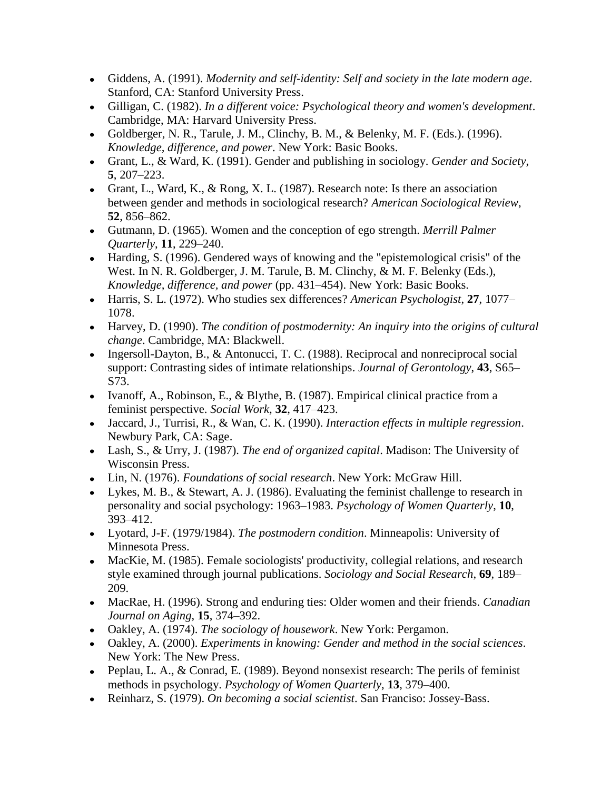- Giddens, A. (1991). *Modernity and self-identity: Self and society in the late modern age*. Stanford, CA: Stanford University Press.
- Gilligan, C. (1982). *In a different voice: Psychological theory and women's development*. Cambridge, MA: Harvard University Press.
- Goldberger, N. R., Tarule, J. M., Clinchy, B. M., & Belenky, M. F. (Eds.). (1996). *Knowledge, difference, and power*. New York: Basic Books.
- Grant, L., & Ward, K. (1991). Gender and publishing in sociology. *Gender and Society*, **5**, 207–223.
- Grant, L., Ward, K., & Rong, X. L. (1987). Research note: Is there an association between gender and methods in sociological research? *American Sociological Review*, **52**, 856–862.
- Gutmann, D. (1965). Women and the conception of ego strength. *Merrill Palmer Quarterly*, **11**, 229–240.
- Harding, S. (1996). Gendered ways of knowing and the "epistemological crisis" of the West. In N. R. Goldberger, J. M. Tarule, B. M. Clinchy, & M. F. Belenky (Eds.), *Knowledge, difference, and power* (pp. 431–454). New York: Basic Books.
- Harris, S. L. (1972). Who studies sex differences? *American Psychologist*, **27**, 1077– 1078.
- Harvey, D. (1990). *The condition of postmodernity: An inquiry into the origins of cultural change*. Cambridge, MA: Blackwell.
- Ingersoll-Dayton, B., & Antonucci, T. C. (1988). Reciprocal and nonreciprocal social support: Contrasting sides of intimate relationships. *Journal of Gerontology*, **43**, S65– S73.
- Ivanoff, A., Robinson, E., & Blythe, B. (1987). Empirical clinical practice from a feminist perspective. *Social Work*, **32**, 417–423.
- Jaccard, J., Turrisi, R., & Wan, C. K. (1990). *Interaction effects in multiple regression*. Newbury Park, CA: Sage.
- Lash, S., & Urry, J. (1987). *The end of organized capital*. Madison: The University of Wisconsin Press.
- Lin, N. (1976). *Foundations of social research*. New York: McGraw Hill.
- Lykes, M. B., & Stewart, A. J. (1986). Evaluating the feminist challenge to research in personality and social psychology: 1963–1983. *Psychology of Women Quarterly*, **10**, 393–412.
- Lyotard, J-F. (1979/1984). *The postmodern condition*. Minneapolis: University of Minnesota Press.
- MacKie, M. (1985). Female sociologists' productivity, collegial relations, and research style examined through journal publications. *Sociology and Social Research*, **69**, 189– 209.
- MacRae, H. (1996). Strong and enduring ties: Older women and their friends. *Canadian Journal on Aging*, **15**, 374–392.
- Oakley, A. (1974). *The sociology of housework*. New York: Pergamon.
- Oakley, A. (2000). *Experiments in knowing: Gender and method in the social sciences*. New York: The New Press.
- Peplau, L. A.,  $& Conrad, E.$  (1989). Beyond nonsexist research: The perils of feminist methods in psychology. *Psychology of Women Quarterly*, **13**, 379–400.
- Reinharz, S. (1979). *On becoming a social scientist*. San Franciso: Jossey-Bass.